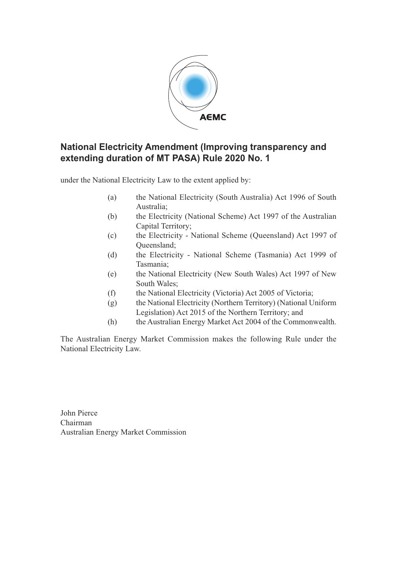

### **National Electricity Amendment (Improving transparency and extending duration of MT PASA) Rule 2020 No. 1**

under the National Electricity Law to the extent applied by:

- (a) the National Electricity (South Australia) Act 1996 of South Australia;
- (b) the Electricity (National Scheme) Act 1997 of the Australian Capital Territory;
- (c) the Electricity National Scheme (Queensland) Act 1997 of Queensland;
- (d) the Electricity National Scheme (Tasmania) Act 1999 of Tasmania;
- (e) the National Electricity (New South Wales) Act 1997 of New South Wales;
- (f) the National Electricity (Victoria) Act 2005 of Victoria;
- (g) the National Electricity (Northern Territory) (National Uniform Legislation) Act 2015 of the Northern Territory; and
- (h) the Australian Energy Market Act 2004 of the Commonwealth.

The Australian Energy Market Commission makes the following Rule under the National Electricity Law.

John Pierce Chairman Australian Energy Market Commission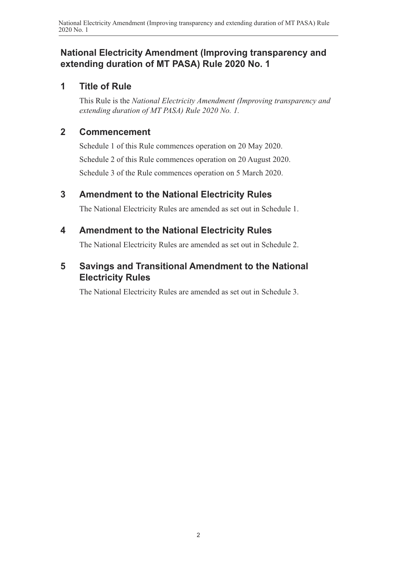### **National Electricity Amendment (Improving transparency and extending duration of MT PASA) Rule 2020 No. 1**

### **1 Title of Rule**

This Rule is the *National Electricity Amendment (Improving transparency and extending duration of MT PASA) Rule 2020 No. 1.*

### **2 Commencement**

Schedule 1 of this Rule commences operation on 20 May 2020. Schedule 2 of this Rule commences operation on 20 August 2020. Schedule 3 of the Rule commences operation on 5 March 2020.

## **3 Amendment to the National Electricity Rules**

<span id="page-1-0"></span>The National Electricity Rules are amended as set out in [Schedule 1.](#page-2-0)

## **4 Amendment to the National Electricity Rules**

<span id="page-1-1"></span>The National Electricity Rules are amended as set out in [Schedule 2.](#page-3-0)

## **5 Savings and Transitional Amendment to the National Electricity Rules**

<span id="page-1-2"></span>The National Electricity Rules are amended as set out in [Schedule 3.](#page-5-0)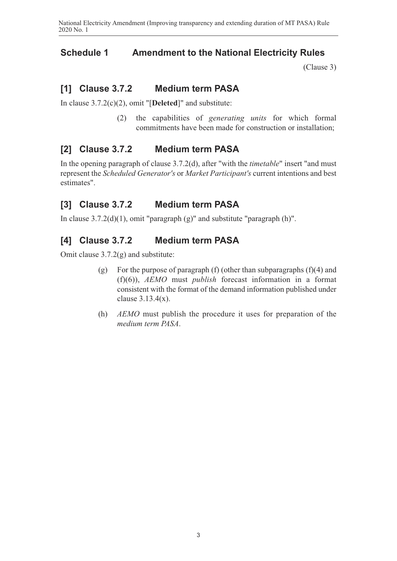### **Schedule 1 Amendment to the National Electricity Rules**

<span id="page-2-0"></span>[\(Clause 3\)](#page-1-0)

## **[1] Clause 3.7.2 Medium term PASA**

In clause 3.7.2(c)(2), omit "[**Deleted**]" and substitute:

(2) the capabilities of *generating units* for which formal commitments have been made for construction or installation;

### **[2] Clause 3.7.2 Medium term PASA**

In the opening paragraph of clause 3.7.2(d), after "with the *timetable*" insert "and must represent the *Scheduled Generator's* or *Market Participant's* current intentions and best estimates".

## **[3] Clause 3.7.2 Medium term PASA**

In clause  $3.7.2(d)(1)$ , omit "paragraph  $(g)$ " and substitute "paragraph  $(h)$ ".

## **[4] Clause 3.7.2 Medium term PASA**

Omit clause 3.7.2(g) and substitute:

- (g) For the purpose of paragraph (f) (other than subparagraphs  $(f)(4)$  and (f)(6)), *AEMO* must *publish* forecast information in a format consistent with the format of the demand information published under clause 3.13.4(x).
- (h) *AEMO* must publish the procedure it uses for preparation of the *medium term PASA*.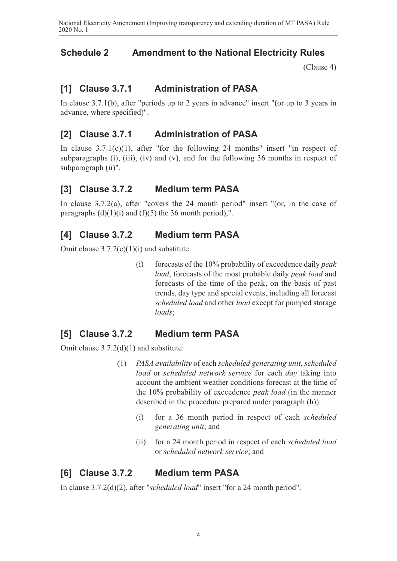## **Schedule 2 Amendment to the National Electricity Rules**

<span id="page-3-0"></span>[\(Clause 4\)](#page-1-1)

## **[1] Clause 3.7.1 Administration of PASA**

In clause 3.7.1(b), after "periods up to 2 years in advance" insert "(or up to 3 years in advance, where specified)".

### **[2] Clause 3.7.1 Administration of PASA**

In clause  $3.7.1(c)(1)$ , after "for the following 24 months" insert "in respect of subparagraphs (i), (iii), (iv) and (v), and for the following 36 months in respect of subparagraph (ii)".

#### **[3] Clause 3.7.2 Medium term PASA**

In clause 3.7.2(a), after "covers the 24 month period" insert "(or, in the case of paragraphs  $(d)(1)(i)$  and  $(f)(5)$  the 36 month period),".

#### **[4] Clause 3.7.2 Medium term PASA**

Omit clause  $3.7.2(c)(1)(i)$  and substitute:

(i) forecasts of the 10% probability of exceedence daily *peak load*, forecasts of the most probable daily *peak load* and forecasts of the time of the peak, on the basis of past trends, day type and special events, including all forecast *scheduled load* and other *load* except for pumped storage *loads*;

### **[5] Clause 3.7.2 Medium term PASA**

Omit clause 3.7.2(d)(1) and substitute:

- (1) *PASA availability* of each *scheduled generating unit*, *scheduled load* or *scheduled network service* for each *day* taking into account the ambient weather conditions forecast at the time of the 10% probability of exceedence *peak load* (in the manner described in the procedure prepared under paragraph (h)):
	- (i) for a 36 month period in respect of each *scheduled generating unit*; and
	- (ii) for a 24 month period in respect of each *scheduled load* or *scheduled network service*; and

### **[6] Clause 3.7.2 Medium term PASA**

In clause 3.7.2(d)(2), after "*scheduled load*" insert "for a 24 month period".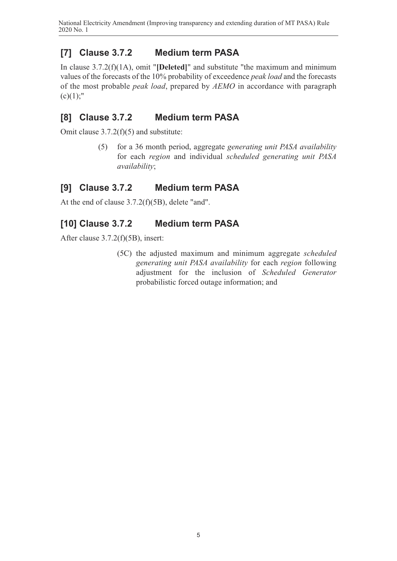# **[7] Clause 3.7.2 Medium term PASA**

In clause 3.7.2(f)(1A), omit "**[Deleted]**" and substitute "the maximum and minimum values of the forecasts of the 10% probability of exceedence *peak load* and the forecasts of the most probable *peak load*, prepared by *AEMO* in accordance with paragraph  $(c)(1);$ "

## **[8] Clause 3.7.2 Medium term PASA**

Omit clause 3.7.2(f)(5) and substitute:

(5) for a 36 month period, aggregate *generating unit PASA availability* for each *region* and individual *scheduled generating unit PASA availability*;

## **[9] Clause 3.7.2 Medium term PASA**

At the end of clause 3.7.2(f)(5B), delete "and".

## **[10] Clause 3.7.2 Medium term PASA**

After clause 3.7.2(f)(5B), insert:

(5C) the adjusted maximum and minimum aggregate *scheduled generating unit PASA availability* for each *region* following adjustment for the inclusion of *Scheduled Generator* probabilistic forced outage information; and